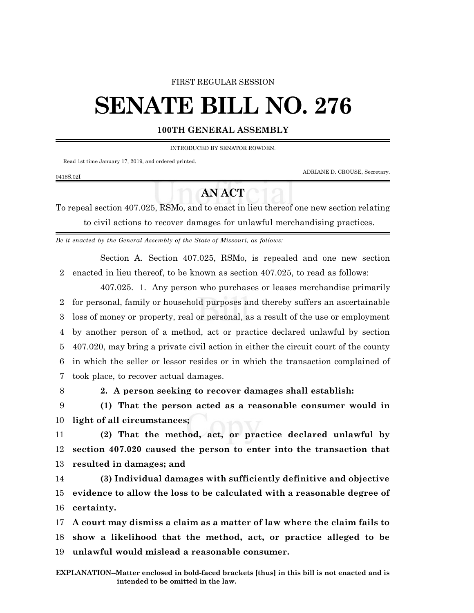#### FIRST REGULAR SESSION

# **SENATE BILL NO. 276**

#### **100TH GENERAL ASSEMBLY**

INTRODUCED BY SENATOR ROWDEN.

Read 1st time January 17, 2019, and ordered printed.

ADRIANE D. CROUSE, Secretary.

### 0418S.02I

## **AN ACT**

To repeal section 407.025, RSMo, and to enact in lieu thereof one new section relating to civil actions to recover damages for unlawful merchandising practices.

*Be it enacted by the General Assembly of the State of Missouri, as follows:*

Section A. Section 407.025, RSMo, is repealed and one new section 2 enacted in lieu thereof, to be known as section 407.025, to read as follows:

407.025. 1. Any person who purchases or leases merchandise primarily for personal, family or household purposes and thereby suffers an ascertainable loss of money or property, real or personal, as a result of the use or employment by another person of a method, act or practice declared unlawful by section 407.020, may bring a private civil action in either the circuit court of the county in which the seller or lessor resides or in which the transaction complained of took place, to recover actual damages.

8 **2. A person seeking to recover damages shall establish:**

9 **(1) That the person acted as a reasonable consumer would in** 10 **light of all circumstances;**

11 **(2) That the method, act, or practice declared unlawful by** 12 **section 407.020 caused the person to enter into the transaction that** 13 **resulted in damages; and**

14 **(3) Individual damages with sufficiently definitive and objective** 15 **evidence to allow the loss to be calculated with a reasonable degree of** 16 **certainty.**

17 **A court may dismiss a claim as a matter of law where the claim fails to** 18 **show a likelihood that the method, act, or practice alleged to be** 19 **unlawful would mislead a reasonable consumer.**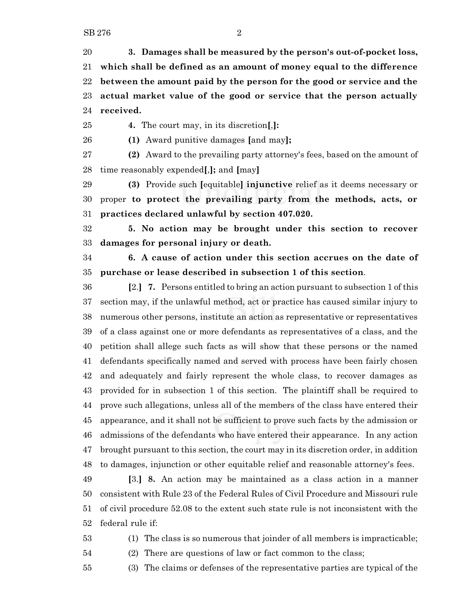**3. Damages shall be measured by the person's out-of-pocket loss, which shall be defined as an amount of money equal to the difference between the amount paid by the person for the good or service and the actual market value of the good or service that the person actually received.**

**4.** The court may, in its discretion**[**,**]:**

**(1)** Award punitive damages **[**and may**];**

 **(2)** Award to the prevailing party attorney's fees, based on the amount of time reasonably expended**[**,**];** and **[**may**]**

 **(3)** Provide such **[**equitable**] injunctive** relief as it deems necessary or proper **to protect the prevailing party from the methods, acts, or practices declared unlawful by section 407.020.**

 **5. No action may be brought under this section to recover damages for personal injury or death.**

 **6. A cause of action under this section accrues on the date of purchase or lease described in subsection 1 of this section**.

 **[**2.**] 7.** Persons entitled to bring an action pursuant to subsection 1 of this section may, if the unlawful method, act or practice has caused similar injury to numerous other persons, institute an action as representative or representatives of a class against one or more defendants as representatives of a class, and the petition shall allege such facts as will show that these persons or the named defendants specifically named and served with process have been fairly chosen and adequately and fairly represent the whole class, to recover damages as provided for in subsection 1 of this section. The plaintiff shall be required to prove such allegations, unless all of the members of the class have entered their appearance, and it shall not be sufficient to prove such facts by the admission or admissions of the defendants who have entered their appearance. In any action brought pursuant to this section, the court may in its discretion order, in addition to damages, injunction or other equitable relief and reasonable attorney's fees.

 **[**3.**] 8.** An action may be maintained as a class action in a manner consistent with Rule 23 of the Federal Rules of Civil Procedure and Missouri rule of civil procedure 52.08 to the extent such state rule is not inconsistent with the federal rule if:

(1) The class is so numerous that joinder of all members is impracticable;

(2) There are questions of law or fact common to the class;

(3) The claims or defenses of the representative parties are typical of the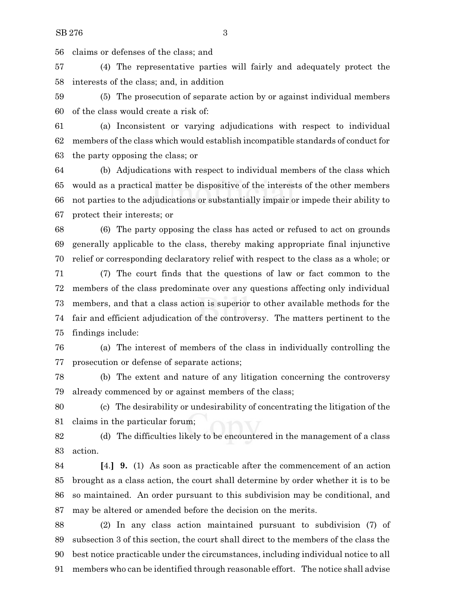claims or defenses of the class; and

 (4) The representative parties will fairly and adequately protect the interests of the class; and, in addition

 (5) The prosecution of separate action by or against individual members of the class would create a risk of:

 (a) Inconsistent or varying adjudications with respect to individual members of the class which would establish incompatible standards of conduct for the party opposing the class; or

 (b) Adjudications with respect to individual members of the class which would as a practical matter be dispositive of the interests of the other members not parties to the adjudications or substantially impair or impede their ability to protect their interests; or

 (6) The party opposing the class has acted or refused to act on grounds generally applicable to the class, thereby making appropriate final injunctive relief or corresponding declaratory relief with respect to the class as a whole; or

 (7) The court finds that the questions of law or fact common to the members of the class predominate over any questions affecting only individual members, and that a class action is superior to other available methods for the fair and efficient adjudication of the controversy. The matters pertinent to the findings include:

 (a) The interest of members of the class in individually controlling the prosecution or defense of separate actions;

 (b) The extent and nature of any litigation concerning the controversy already commenced by or against members of the class;

 (c) The desirability or undesirability of concentrating the litigation of the claims in the particular forum;

 (d) The difficulties likely to be encountered in the management of a class action.

 **[**4.**] 9.** (1) As soon as practicable after the commencement of an action brought as a class action, the court shall determine by order whether it is to be so maintained. An order pursuant to this subdivision may be conditional, and may be altered or amended before the decision on the merits.

 (2) In any class action maintained pursuant to subdivision (7) of subsection 3 of this section, the court shall direct to the members of the class the best notice practicable under the circumstances, including individual notice to all members who can be identified through reasonable effort. The notice shall advise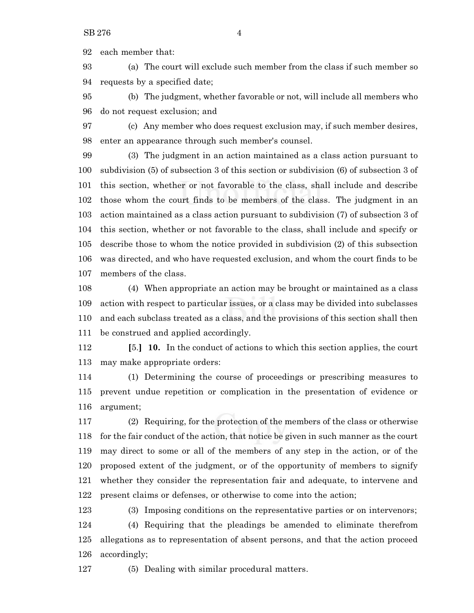each member that:

 (a) The court will exclude such member from the class if such member so requests by a specified date;

 (b) The judgment, whether favorable or not, will include all members who do not request exclusion; and

 (c) Any member who does request exclusion may, if such member desires, enter an appearance through such member's counsel.

 (3) The judgment in an action maintained as a class action pursuant to subdivision (5) of subsection 3 of this section or subdivision (6) of subsection 3 of this section, whether or not favorable to the class, shall include and describe those whom the court finds to be members of the class. The judgment in an action maintained as a class action pursuant to subdivision (7) of subsection 3 of this section, whether or not favorable to the class, shall include and specify or describe those to whom the notice provided in subdivision (2) of this subsection was directed, and who have requested exclusion, and whom the court finds to be members of the class.

 (4) When appropriate an action may be brought or maintained as a class action with respect to particular issues, or a class may be divided into subclasses and each subclass treated as a class, and the provisions of this section shall then be construed and applied accordingly.

 **[**5.**] 10.** In the conduct of actions to which this section applies, the court may make appropriate orders:

 (1) Determining the course of proceedings or prescribing measures to prevent undue repetition or complication in the presentation of evidence or argument;

 (2) Requiring, for the protection of the members of the class or otherwise for the fair conduct of the action, that notice be given in such manner as the court may direct to some or all of the members of any step in the action, or of the proposed extent of the judgment, or of the opportunity of members to signify whether they consider the representation fair and adequate, to intervene and present claims or defenses, or otherwise to come into the action;

 (3) Imposing conditions on the representative parties or on intervenors; (4) Requiring that the pleadings be amended to eliminate therefrom allegations as to representation of absent persons, and that the action proceed accordingly;

(5) Dealing with similar procedural matters.